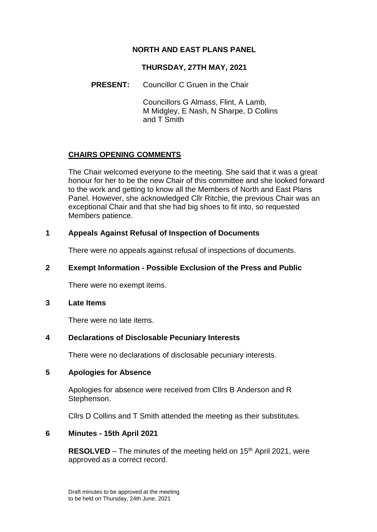# **NORTH AND EAST PLANS PANEL**

### **THURSDAY, 27TH MAY, 2021**

### **PRESENT:** Councillor C Gruen in the Chair

Councillors G Almass, Flint, A Lamb, M Midgley, E Nash, N Sharpe, D Collins and T Smith

### **CHAIRS OPENING COMMENTS**

The Chair welcomed everyone to the meeting. She said that it was a great honour for her to be the new Chair of this committee and she looked forward to the work and getting to know all the Members of North and East Plans Panel. However, she acknowledged Cllr Ritchie, the previous Chair was an exceptional Chair and that she had big shoes to fit into, so requested Members patience.

### **1 Appeals Against Refusal of Inspection of Documents**

There were no appeals against refusal of inspections of documents.

### **2 Exempt Information - Possible Exclusion of the Press and Public**

There were no exempt items.

#### **3 Late Items**

There were no late items.

### **4 Declarations of Disclosable Pecuniary Interests**

There were no declarations of disclosable pecuniary interests.

### **5 Apologies for Absence**

Apologies for absence were received from Cllrs B Anderson and R Stephenson.

Cllrs D Collins and T Smith attended the meeting as their substitutes.

### **6 Minutes - 15th April 2021**

**RESOLVED** – The minutes of the meeting held on 15<sup>th</sup> April 2021, were approved as a correct record.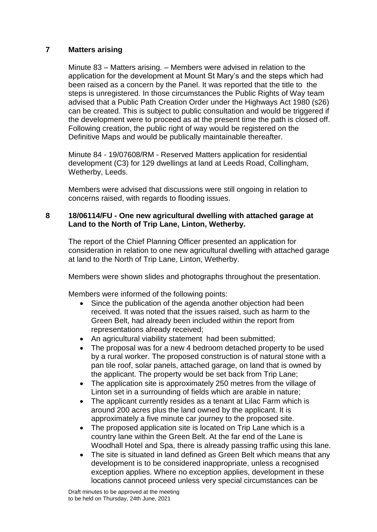## **7 Matters arising**

Minute 83 – Matters arising. – Members were advised in relation to the application for the development at Mount St Mary's and the steps which had been raised as a concern by the Panel. It was reported that the title to the steps is unregistered. In those circumstances the Public Rights of Way team advised that a Public Path Creation Order under the Highways Act 1980 (s26) can be created. This is subject to public consultation and would be triggered if the development were to proceed as at the present time the path is closed off. Following creation, the public right of way would be registered on the Definitive Maps and would be publically maintainable thereafter.

Minute 84 - 19/07608/RM - Reserved Matters application for residential development (C3) for 129 dwellings at land at Leeds Road, Collingham, Wetherby, Leeds.

Members were advised that discussions were still ongoing in relation to concerns raised, with regards to flooding issues.

### **8 18/06114/FU - One new agricultural dwelling with attached garage at Land to the North of Trip Lane, Linton, Wetherby.**

The report of the Chief Planning Officer presented an application for consideration in relation to one new agricultural dwelling with attached garage at land to the North of Trip Lane, Linton, Wetherby.

Members were shown slides and photographs throughout the presentation.

Members were informed of the following points:

- Since the publication of the agenda another objection had been received. It was noted that the issues raised, such as harm to the Green Belt, had already been included within the report from representations already received;
- An agricultural viability statement had been submitted;
- The proposal was for a new 4 bedroom detached property to be used by a rural worker. The proposed construction is of natural stone with a pan tile roof, solar panels, attached garage, on land that is owned by the applicant. The property would be set back from Trip Lane;
- The application site is approximately 250 metres from the village of Linton set in a surrounding of fields which are arable in nature;
- The applicant currently resides as a tenant at Lilac Farm which is around 200 acres plus the land owned by the applicant. It is approximately a five minute car journey to the proposed site.
- The proposed application site is located on Trip Lane which is a country lane within the Green Belt. At the far end of the Lane is Woodhall Hotel and Spa, there is already passing traffic using this lane.
- The site is situated in land defined as Green Belt which means that any development is to be considered inappropriate, unless a recognised exception applies. Where no exception applies, development in these locations cannot proceed unless very special circumstances can be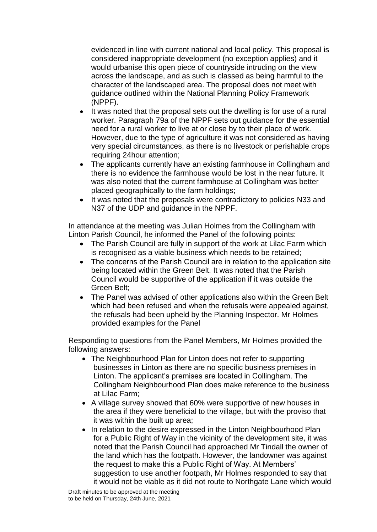evidenced in line with current national and local policy. This proposal is considered inappropriate development (no exception applies) and it would urbanise this open piece of countryside intruding on the view across the landscape, and as such is classed as being harmful to the character of the landscaped area. The proposal does not meet with guidance outlined within the National Planning Policy Framework (NPPF).

- It was noted that the proposal sets out the dwelling is for use of a rural worker. Paragraph 79a of the NPPF sets out guidance for the essential need for a rural worker to live at or close by to their place of work. However, due to the type of agriculture it was not considered as having very special circumstances, as there is no livestock or perishable crops requiring 24hour attention;
- The applicants currently have an existing farmhouse in Collingham and there is no evidence the farmhouse would be lost in the near future. It was also noted that the current farmhouse at Collingham was better placed geographically to the farm holdings;
- It was noted that the proposals were contradictory to policies N33 and N37 of the UDP and guidance in the NPPF.

In attendance at the meeting was Julian Holmes from the Collingham with Linton Parish Council, he informed the Panel of the following points:

- The Parish Council are fully in support of the work at Lilac Farm which is recognised as a viable business which needs to be retained;
- The concerns of the Parish Council are in relation to the application site being located within the Green Belt. It was noted that the Parish Council would be supportive of the application if it was outside the Green Belt;
- The Panel was advised of other applications also within the Green Belt which had been refused and when the refusals were appealed against, the refusals had been upheld by the Planning Inspector. Mr Holmes provided examples for the Panel

Responding to questions from the Panel Members, Mr Holmes provided the following answers:

- The Neighbourhood Plan for Linton does not refer to supporting businesses in Linton as there are no specific business premises in Linton. The applicant's premises are located in Collingham. The Collingham Neighbourhood Plan does make reference to the business at Lilac Farm;
- A village survey showed that 60% were supportive of new houses in the area if they were beneficial to the village, but with the proviso that it was within the built up area;
- In relation to the desire expressed in the Linton Neighbourhood Plan for a Public Right of Way in the vicinity of the development site, it was noted that the Parish Council had approached Mr Tindall the owner of the land which has the footpath. However, the landowner was against the request to make this a Public Right of Way. At Members' suggestion to use another footpath, Mr Holmes responded to say that it would not be viable as it did not route to Northgate Lane which would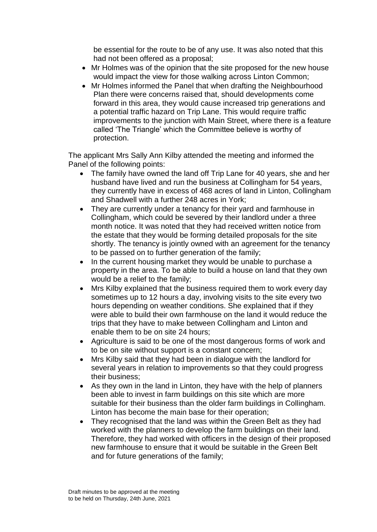be essential for the route to be of any use. It was also noted that this had not been offered as a proposal;

- Mr Holmes was of the opinion that the site proposed for the new house would impact the view for those walking across Linton Common;
- Mr Holmes informed the Panel that when drafting the Neighbourhood Plan there were concerns raised that, should developments come forward in this area, they would cause increased trip generations and a potential traffic hazard on Trip Lane. This would require traffic improvements to the junction with Main Street, where there is a feature called 'The Triangle' which the Committee believe is worthy of protection.

The applicant Mrs Sally Ann Kilby attended the meeting and informed the Panel of the following points:

- The family have owned the land off Trip Lane for 40 years, she and her husband have lived and run the business at Collingham for 54 years, they currently have in excess of 468 acres of land in Linton, Collingham and Shadwell with a further 248 acres in York;
- They are currently under a tenancy for their vard and farmhouse in Collingham, which could be severed by their landlord under a three month notice. It was noted that they had received written notice from the estate that they would be forming detailed proposals for the site shortly. The tenancy is jointly owned with an agreement for the tenancy to be passed on to further generation of the family;
- In the current housing market they would be unable to purchase a property in the area. To be able to build a house on land that they own would be a relief to the family;
- Mrs Kilby explained that the business required them to work every day sometimes up to 12 hours a day, involving visits to the site every two hours depending on weather conditions. She explained that if they were able to build their own farmhouse on the land it would reduce the trips that they have to make between Collingham and Linton and enable them to be on site 24 hours;
- Agriculture is said to be one of the most dangerous forms of work and to be on site without support is a constant concern;
- Mrs Kilby said that they had been in dialogue with the landlord for several years in relation to improvements so that they could progress their business;
- As they own in the land in Linton, they have with the help of planners been able to invest in farm buildings on this site which are more suitable for their business than the older farm buildings in Collingham. Linton has become the main base for their operation;
- They recognised that the land was within the Green Belt as they had worked with the planners to develop the farm buildings on their land. Therefore, they had worked with officers in the design of their proposed new farmhouse to ensure that it would be suitable in the Green Belt and for future generations of the family;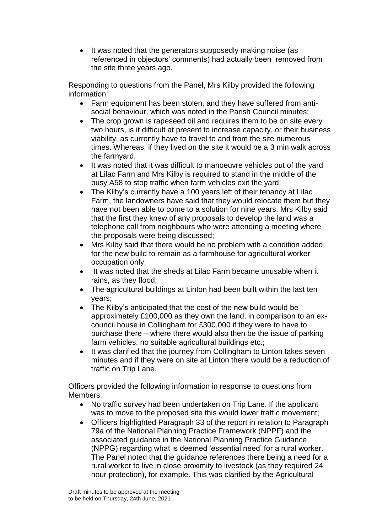• It was noted that the generators supposedly making noise (as referenced in objectors' comments) had actually been removed from the site three years ago.

Responding to questions from the Panel, Mrs Kilby provided the following information:

- Farm equipment has been stolen, and they have suffered from antisocial behaviour, which was noted in the Parish Council minutes;
- The crop grown is rapeseed oil and requires them to be on site every two hours, is it difficult at present to increase capacity, or their business viability, as currently have to travel to and from the site numerous times. Whereas, if they lived on the site it would be a 3 min walk across the farmyard.
- It was noted that it was difficult to manoeuvre vehicles out of the yard at Lilac Farm and Mrs Kilby is required to stand in the middle of the busy A58 to stop traffic when farm vehicles exit the yard;
- The Kilby's currently have a 100 years left of their tenancy at Lilac Farm, the landowners have said that they would relocate them but they have not been able to come to a solution for nine years. Mrs Kilby said that the first they knew of any proposals to develop the land was a telephone call from neighbours who were attending a meeting where the proposals were being discussed;
- Mrs Kilby said that there would be no problem with a condition added for the new build to remain as a farmhouse for agricultural worker occupation only;
- It was noted that the sheds at Lilac Farm became unusable when it rains, as they flood;
- The agricultural buildings at Linton had been built within the last ten years;
- The Kilby's anticipated that the cost of the new build would be approximately £100,000 as they own the land, in comparison to an excouncil house in Collingham for £300,000 if they were to have to purchase there – where there would also then be the issue of parking farm vehicles, no suitable agricultural buildings etc.;
- It was clarified that the journey from Collingham to Linton takes seven minutes and if they were on site at Linton there would be a reduction of traffic on Trip Lane.

Officers provided the following information in response to questions from Members:

- No traffic survey had been undertaken on Trip Lane. If the applicant was to move to the proposed site this would lower traffic movement;
- Officers highlighted Paragraph 33 of the report in relation to Paragraph 79a of the National Planning Practice Framework (NPPF) and the associated guidance in the National Planning Practice Guidance (NPPG) regarding what is deemed 'essential need' for a rural worker. The Panel noted that the guidance references there being a need for a rural worker to live in close proximity to livestock (as they required 24 hour protection), for example. This was clarified by the Agricultural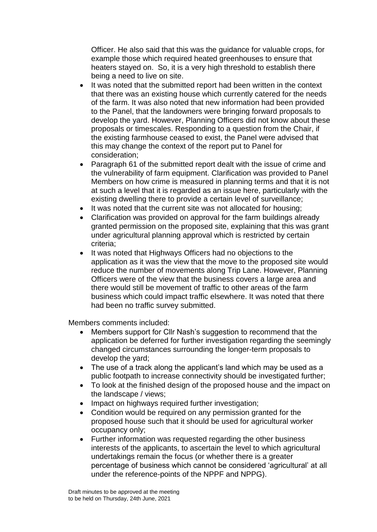Officer. He also said that this was the guidance for valuable crops, for example those which required heated greenhouses to ensure that heaters stayed on. So, it is a very high threshold to establish there being a need to live on site.

- It was noted that the submitted report had been written in the context that there was an existing house which currently catered for the needs of the farm. It was also noted that new information had been provided to the Panel, that the landowners were bringing forward proposals to develop the yard. However, Planning Officers did not know about these proposals or timescales. Responding to a question from the Chair, if the existing farmhouse ceased to exist, the Panel were advised that this may change the context of the report put to Panel for consideration;
- Paragraph 61 of the submitted report dealt with the issue of crime and the vulnerability of farm equipment. Clarification was provided to Panel Members on how crime is measured in planning terms and that it is not at such a level that it is regarded as an issue here, particularly with the existing dwelling there to provide a certain level of surveillance;
- It was noted that the current site was not allocated for housing:
- Clarification was provided on approval for the farm buildings already granted permission on the proposed site, explaining that this was grant under agricultural planning approval which is restricted by certain criteria;
- It was noted that Highways Officers had no objections to the application as it was the view that the move to the proposed site would reduce the number of movements along Trip Lane. However, Planning Officers were of the view that the business covers a large area and there would still be movement of traffic to other areas of the farm business which could impact traffic elsewhere. It was noted that there had been no traffic survey submitted.

Members comments included:

- Members support for Cllr Nash's suggestion to recommend that the application be deferred for further investigation regarding the seemingly changed circumstances surrounding the longer-term proposals to develop the yard;
- The use of a track along the applicant's land which may be used as a public footpath to increase connectivity should be investigated further;
- To look at the finished design of the proposed house and the impact on the landscape / views;
- Impact on highways required further investigation;
- Condition would be required on any permission granted for the proposed house such that it should be used for agricultural worker occupancy only;
- Further information was requested regarding the other business interests of the applicants, to ascertain the level to which agricultural undertakings remain the focus (or whether there is a greater percentage of business which cannot be considered 'agricultural' at all under the reference-points of the NPPF and NPPG).